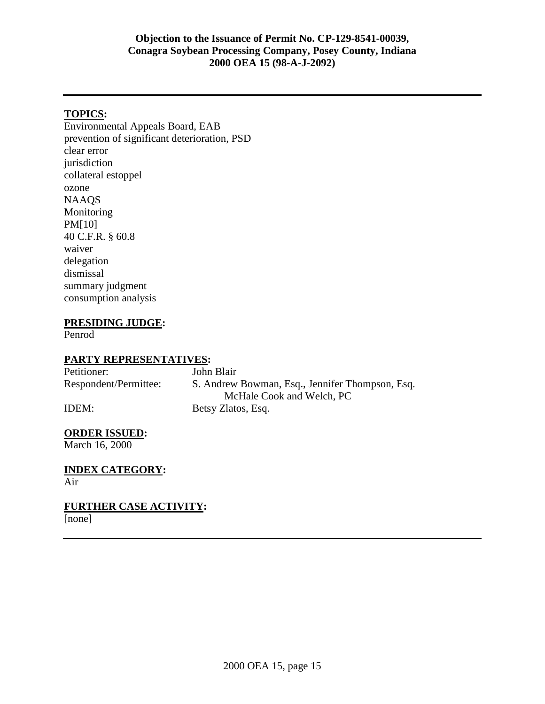#### **TOPICS:**

Environmental Appeals Board, EAB prevention of significant deterioration, PSD clear error jurisdiction collateral estoppel ozone NAAQS Monitoring PM[10] 40 C.F.R. § 60.8 waiver delegation dismissal summary judgment consumption analysis

# **PRESIDING JUDGE:**

Penrod

#### **PARTY REPRESENTATIVES:**

Petitioner: John Blair Respondent/Permittee: S. Andrew Bowman, Esq., Jennifer Thompson, Esq. McHale Cook and Welch, PC IDEM: Betsy Zlatos, Esq.

**ORDER ISSUED:** 

March 16, 2000

**INDEX CATEGORY:**  Air

**FURTHER CASE ACTIVITY:**  [none]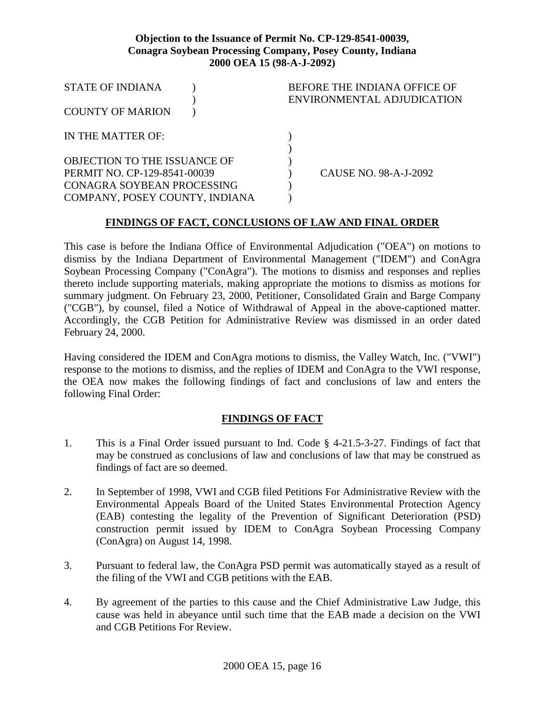| <b>STATE OF INDIANA</b>             |  | BEFORE THE INDIANA OFFICE OF<br>ENVIRONMENTAL ADJUDICATION |
|-------------------------------------|--|------------------------------------------------------------|
| <b>COUNTY OF MARION</b>             |  |                                                            |
| IN THE MATTER OF:                   |  |                                                            |
|                                     |  |                                                            |
| <b>OBJECTION TO THE ISSUANCE OF</b> |  |                                                            |
| PERMIT NO. CP-129-8541-00039        |  | CAUSE NO. 98-A-J-2092                                      |
| CONAGRA SOYBEAN PROCESSING          |  |                                                            |
| COMPANY, POSEY COUNTY, INDIANA      |  |                                                            |

# **FINDINGS OF FACT, CONCLUSIONS OF LAW AND FINAL ORDER**

This case is before the Indiana Office of Environmental Adjudication ("OEA") on motions to dismiss by the Indiana Department of Environmental Management ("IDEM") and ConAgra Soybean Processing Company ("ConAgra"). The motions to dismiss and responses and replies thereto include supporting materials, making appropriate the motions to dismiss as motions for summary judgment. On February 23, 2000, Petitioner, Consolidated Grain and Barge Company ("CGB"), by counsel, filed a Notice of Withdrawal of Appeal in the above-captioned matter. Accordingly, the CGB Petition for Administrative Review was dismissed in an order dated February 24, 2000.

Having considered the IDEM and ConAgra motions to dismiss, the Valley Watch, Inc. ("VWI") response to the motions to dismiss, and the replies of IDEM and ConAgra to the VWI response, the OEA now makes the following findings of fact and conclusions of law and enters the following Final Order:

# **FINDINGS OF FACT**

- 1. This is a Final Order issued pursuant to Ind. Code § 4-21.5-3-27. Findings of fact that may be construed as conclusions of law and conclusions of law that may be construed as findings of fact are so deemed.
- 2. In September of 1998, VWI and CGB filed Petitions For Administrative Review with the Environmental Appeals Board of the United States Environmental Protection Agency (EAB) contesting the legality of the Prevention of Significant Deterioration (PSD) construction permit issued by IDEM to ConAgra Soybean Processing Company (ConAgra) on August 14, 1998.
- 3. Pursuant to federal law, the ConAgra PSD permit was automatically stayed as a result of the filing of the VWI and CGB petitions with the EAB.
- 4. By agreement of the parties to this cause and the Chief Administrative Law Judge, this cause was held in abeyance until such time that the EAB made a decision on the VWI and CGB Petitions For Review.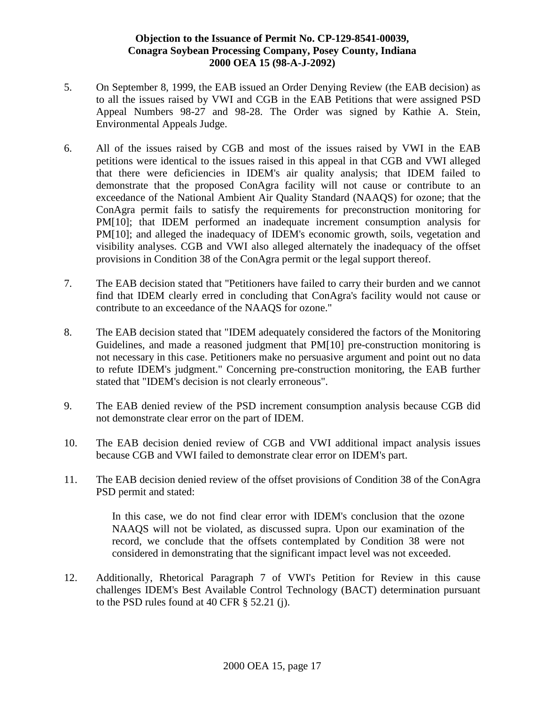- 5. On September 8, 1999, the EAB issued an Order Denying Review (the EAB decision) as to all the issues raised by VWI and CGB in the EAB Petitions that were assigned PSD Appeal Numbers 98-27 and 98-28. The Order was signed by Kathie A. Stein, Environmental Appeals Judge.
- 6. All of the issues raised by CGB and most of the issues raised by VWI in the EAB petitions were identical to the issues raised in this appeal in that CGB and VWI alleged that there were deficiencies in IDEM's air quality analysis; that IDEM failed to demonstrate that the proposed ConAgra facility will not cause or contribute to an exceedance of the National Ambient Air Quality Standard (NAAQS) for ozone; that the ConAgra permit fails to satisfy the requirements for preconstruction monitoring for PM[10]; that IDEM performed an inadequate increment consumption analysis for PM[10]; and alleged the inadequacy of IDEM's economic growth, soils, vegetation and visibility analyses. CGB and VWI also alleged alternately the inadequacy of the offset provisions in Condition 38 of the ConAgra permit or the legal support thereof.
- 7. The EAB decision stated that "Petitioners have failed to carry their burden and we cannot find that IDEM clearly erred in concluding that ConAgra's facility would not cause or contribute to an exceedance of the NAAQS for ozone."
- 8. The EAB decision stated that "IDEM adequately considered the factors of the Monitoring Guidelines, and made a reasoned judgment that PM[10] pre-construction monitoring is not necessary in this case. Petitioners make no persuasive argument and point out no data to refute IDEM's judgment." Concerning pre-construction monitoring, the EAB further stated that "IDEM's decision is not clearly erroneous".
- 9. The EAB denied review of the PSD increment consumption analysis because CGB did not demonstrate clear error on the part of IDEM.
- 10. The EAB decision denied review of CGB and VWI additional impact analysis issues because CGB and VWI failed to demonstrate clear error on IDEM's part.
- 11. The EAB decision denied review of the offset provisions of Condition 38 of the ConAgra PSD permit and stated:

In this case, we do not find clear error with IDEM's conclusion that the ozone NAAQS will not be violated, as discussed supra. Upon our examination of the record, we conclude that the offsets contemplated by Condition 38 were not considered in demonstrating that the significant impact level was not exceeded.

12. Additionally, Rhetorical Paragraph 7 of VWI's Petition for Review in this cause challenges IDEM's Best Available Control Technology (BACT) determination pursuant to the PSD rules found at 40 CFR § 52.21 (j).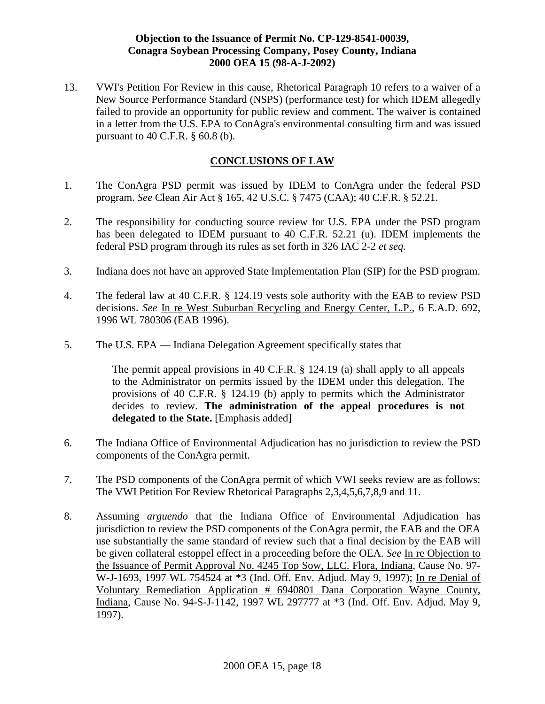13. VWI's Petition For Review in this cause, Rhetorical Paragraph 10 refers to a waiver of a New Source Performance Standard (NSPS) (performance test) for which IDEM allegedly failed to provide an opportunity for public review and comment. The waiver is contained in a letter from the U.S. EPA to ConAgra's environmental consulting firm and was issued pursuant to 40 C.F.R. § 60.8 (b).

# **CONCLUSIONS OF LAW**

- 1. The ConAgra PSD permit was issued by IDEM to ConAgra under the federal PSD program. *See* Clean Air Act § 165, 42 U.S.C. § 7475 (CAA); 40 C.F.R. § 52.21.
- 2. The responsibility for conducting source review for U.S. EPA under the PSD program has been delegated to IDEM pursuant to 40 C.F.R. 52.21 (u). IDEM implements the federal PSD program through its rules as set forth in 326 IAC 2-2 *et seq.*
- 3. Indiana does not have an approved State Implementation Plan (SIP) for the PSD program.
- 4. The federal law at 40 C.F.R. § 124.19 vests sole authority with the EAB to review PSD decisions. *See* In re West Suburban Recycling and Energy Center, L.P., 6 E.A.D. 692, 1996 WL 780306 (EAB 1996).
- 5. The U.S. EPA Indiana Delegation Agreement specifically states that

The permit appeal provisions in 40 C.F.R. § 124.19 (a) shall apply to all appeals to the Administrator on permits issued by the IDEM under this delegation. The provisions of 40 C.F.R. § 124.19 (b) apply to permits which the Administrator decides to review. **The administration of the appeal procedures is not delegated to the State.** [Emphasis added]

- 6. The Indiana Office of Environmental Adjudication has no jurisdiction to review the PSD components of the ConAgra permit.
- 7. The PSD components of the ConAgra permit of which VWI seeks review are as follows: The VWI Petition For Review Rhetorical Paragraphs 2,3,4,5,6,7,8,9 and 11.
- 8. Assuming *arguendo* that the Indiana Office of Environmental Adjudication has jurisdiction to review the PSD components of the ConAgra permit, the EAB and the OEA use substantially the same standard of review such that a final decision by the EAB will be given collateral estoppel effect in a proceeding before the OEA. *See* In re Objection to the Issuance of Permit Approval No. 4245 Top Sow, LLC. Flora, Indiana, Cause No. 97- W-J-1693, 1997 WL 754524 at \*3 (Ind. Off. Env. Adjud. May 9, 1997); In re Denial of Voluntary Remediation Application # 6940801 Dana Corporation Wayne County, Indiana, Cause No. 94-S-J-1142, 1997 WL 297777 at \*3 (Ind. Off. Env. Adjud. May 9, 1997).